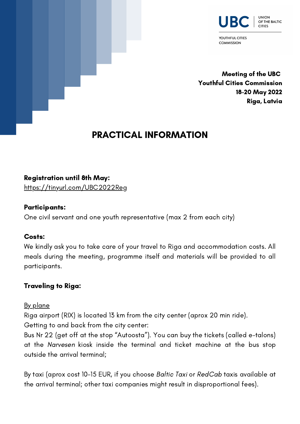

YOUTHFUL CITIES **COMMISSION** 

Meeting of the UBC Youthful Cities Commission 18-20 May 2022 Riga, Latvia

# PRACTICAL INFORMATION

#### Registration until 8th May:

<https://tinyurl.com/UBC2022Reg>

#### Participants:

One civil servant and one youth representative (max 2 from each city)

#### Costs:

We kindly ask you to take care of your travel to Riga and accommodation costs. All meals during the meeting, programme itself and materials will be provided to all participants.

# Traveling to Riga:

#### By plane

Riga airport (RIX) is located 13 km from the city center (aprox 20 min ride). Getting to and back from the city center:

Bus Nr 22 (get off at the stop "Autoosta"). You can buy the tickets (called e-talons) at the Narvesen kiosk inside the terminal and ticket machine at the bus stop outside the arrival terminal;

By taxi (aprox cost 10-15 EUR, if you choose Baltic Taxi or RedCab taxis available at the arrival terminal; other taxi companies might result in disproportional fees).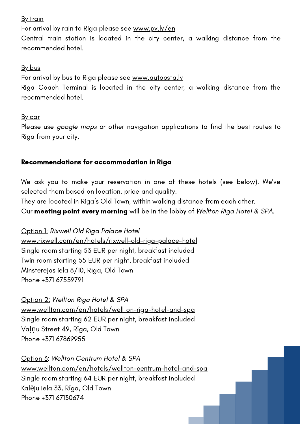#### **By train**

For arrival by rain to Riga please see [www.pv.lv/en](http://www.pv.lv/en)

Central train station is located in the city center, a walking distance from the recommended hotel.

#### <u>By bus</u>

For arrival by bus to Riga please see [www.autoosta.lv](https://www.autoosta.lv/time-table/?lang=en)

Riga Coach Terminal is located in the city center, a walking distance from the recommended hotel.

#### <u>By car</u>

Please use google maps or other navigation applications to find the best routes to Riga from your city.

# Recommendations for accommodation in Riga

We ask you to make your reservation in one of these hotels (see below). We've selected them based on location, price and quality.

They are located in Riga's Old Town, within walking distance from each other. Our **meeting point every morning** will be in the lobby of Wellton Riga Hotel & SPA.

Option 1: Rixwell Old Riga Palace Hotel [www.rixwell.com/en/hotels/rixwell-old-riga-palace-hotel](http://www.rixwell.com/en/hotels/rixwell-old-riga-palace-hotel) Single room starting 53 EUR per night, breakfast included Twin room starting 55 EUR per night, breakfast included Minsterejas iela 8/10, Rīga, Old Town Phone +371 67559791

Option 2: Wellton Riga Hotel & SPA [www.wellton.com/en/hotels/wellton-riga-hotel-and-spa](http://www.wellton.com/en/hotels/wellton-riga-hotel-and-spa) Single room starting 62 EUR per night, breakfast included Vaļņu Street 49, Rīga, Old Town Phone +371 67869955

Option 3: Wellton Centrum Hotel & SPA [www.wellton.com/en/hotels/wellton-centrum-hotel-and-spa](http://www.wellton.com/en/hotels/wellton-centrum-hotel-and-spa) Single room starting 64 EUR per night, breakfast included Kalēju iela 33, Rīga, Old Town Phone +371 67130674